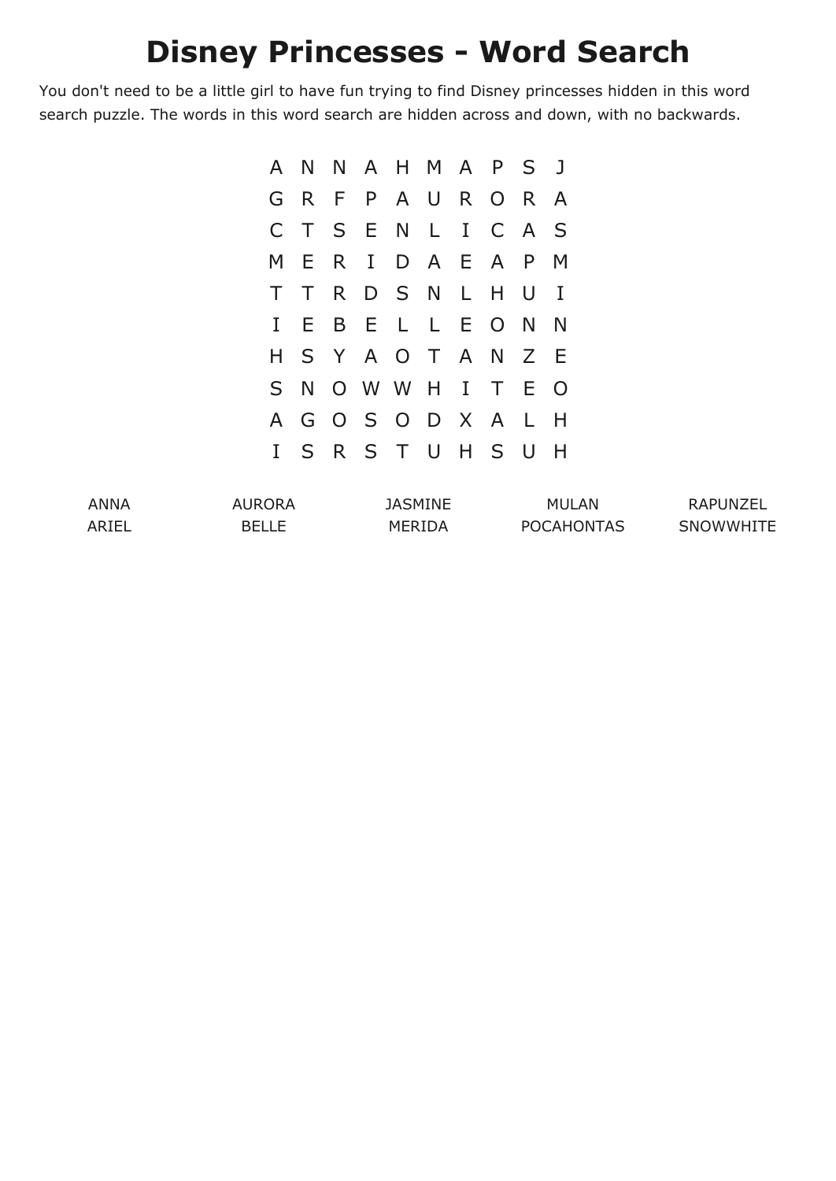## **Disney Princesses - Word Search**

You don't need to be a little girl to have fun trying to find Disney princesses hidden in this word search puzzle. The words in this word search are hidden across and down, with no backwards.

|              |        | A N N A H M A P S J |  |  |                |
|--------------|--------|---------------------|--|--|----------------|
|              |        | G R F P A U R O R   |  |  | <sup>A</sup>   |
| $\mathsf{C}$ | $\top$ | SENLICA             |  |  | $\mathsf{S}$   |
|              |        | M E R I D A E A P   |  |  | M              |
| $\top$       |        | TRDSNLHU            |  |  | $\blacksquare$ |
| $\mathbf{I}$ |        | EBELLEONN           |  |  |                |
| H.           |        | S Y A O T A N Z     |  |  | - E            |
|              |        | S N O W W H I T E   |  |  | $\overline{O}$ |
|              |        | A G O S O D X A L   |  |  | H              |
|              |        | I S R S T U H S U   |  |  | H              |

| ANNA  | AURORA       | JASMINE | <b>MULAN</b>      | RAPUNZEL         |
|-------|--------------|---------|-------------------|------------------|
| ARIEL | <b>BELLE</b> | MERIDA  | <b>POCAHONTAS</b> | <b>SNOWWHITE</b> |